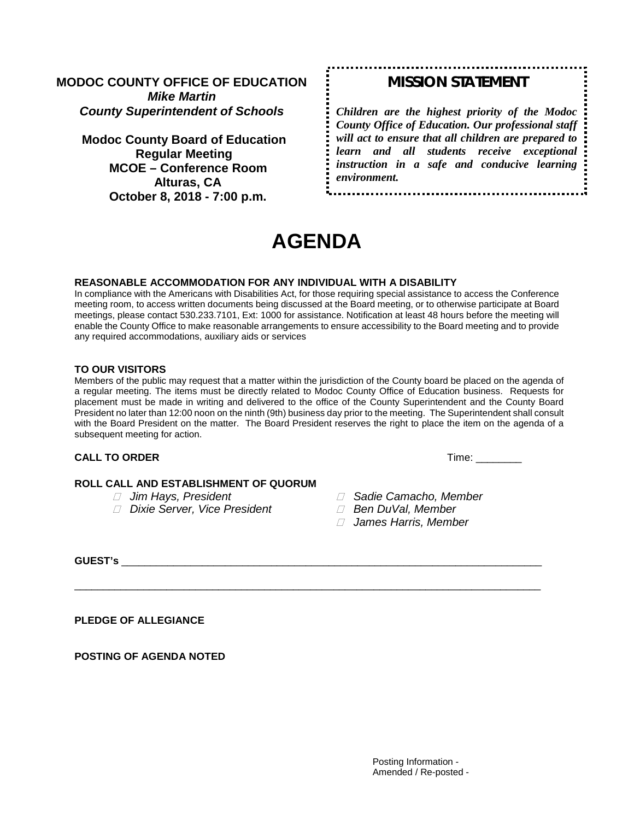## **MODOC COUNTY OFFICE OF EDUCATION** *Mike Martin County Superintendent of Schools*

**Modoc County Board of Education Regular Meeting MCOE – Conference Room Alturas, CA October 8, 2018 - 7:00 p.m.**

# *MISSION STATEMENT*

*Children are the highest priority of the Modoc County Office of Education. Our professional staff will act to ensure that all children are prepared to learn and all students receive exceptional instruction in a safe and conducive learning environment.*

# **AGENDA**

#### **REASONABLE ACCOMMODATION FOR ANY INDIVIDUAL WITH A DISABILITY**

In compliance with the Americans with Disabilities Act, for those requiring special assistance to access the Conference meeting room, to access written documents being discussed at the Board meeting, or to otherwise participate at Board meetings, please contact 530.233.7101, Ext: 1000 for assistance. Notification at least 48 hours before the meeting will enable the County Office to make reasonable arrangements to ensure accessibility to the Board meeting and to provide any required accommodations, auxiliary aids or services

#### **TO OUR VISITORS**

Members of the public may request that a matter within the jurisdiction of the County board be placed on the agenda of a regular meeting. The items must be directly related to Modoc County Office of Education business. Requests for placement must be made in writing and delivered to the office of the County Superintendent and the County Board President no later than 12:00 noon on the ninth (9th) business day prior to the meeting. The Superintendent shall consult with the Board President on the matter. The Board President reserves the right to place the item on the agenda of a subsequent meeting for action.

\_\_\_\_\_\_\_\_\_\_\_\_\_\_\_\_\_\_\_\_\_\_\_\_\_\_\_\_\_\_\_\_\_\_\_\_\_\_\_\_\_\_\_\_\_\_\_\_\_\_\_\_\_\_\_\_\_\_\_\_\_\_\_\_\_\_\_\_\_\_\_\_\_\_\_\_\_\_\_\_\_

#### **CALL TO ORDER Time:**  $\blacksquare$

# **ROLL CALL AND ESTABLISHMENT OF QUORUM**<br> *I* Jim Hays, President

- 
- *<i>* $\Box$  Dixie Server, Vice President
- *⊡ Sadie Camacho, Member<br>□ Ben DuVal, Member* 
	-
	- *James Harris, Member*

**GUEST's** \_\_\_\_\_\_\_\_\_\_\_\_\_\_\_\_\_\_\_\_\_\_\_\_\_\_\_\_\_\_\_\_\_\_\_\_\_\_\_\_\_\_\_\_\_\_\_\_\_\_\_\_\_\_\_\_\_\_\_\_\_\_\_\_\_\_\_\_\_\_\_\_\_

**PLEDGE OF ALLEGIANCE**

**POSTING OF AGENDA NOTED**